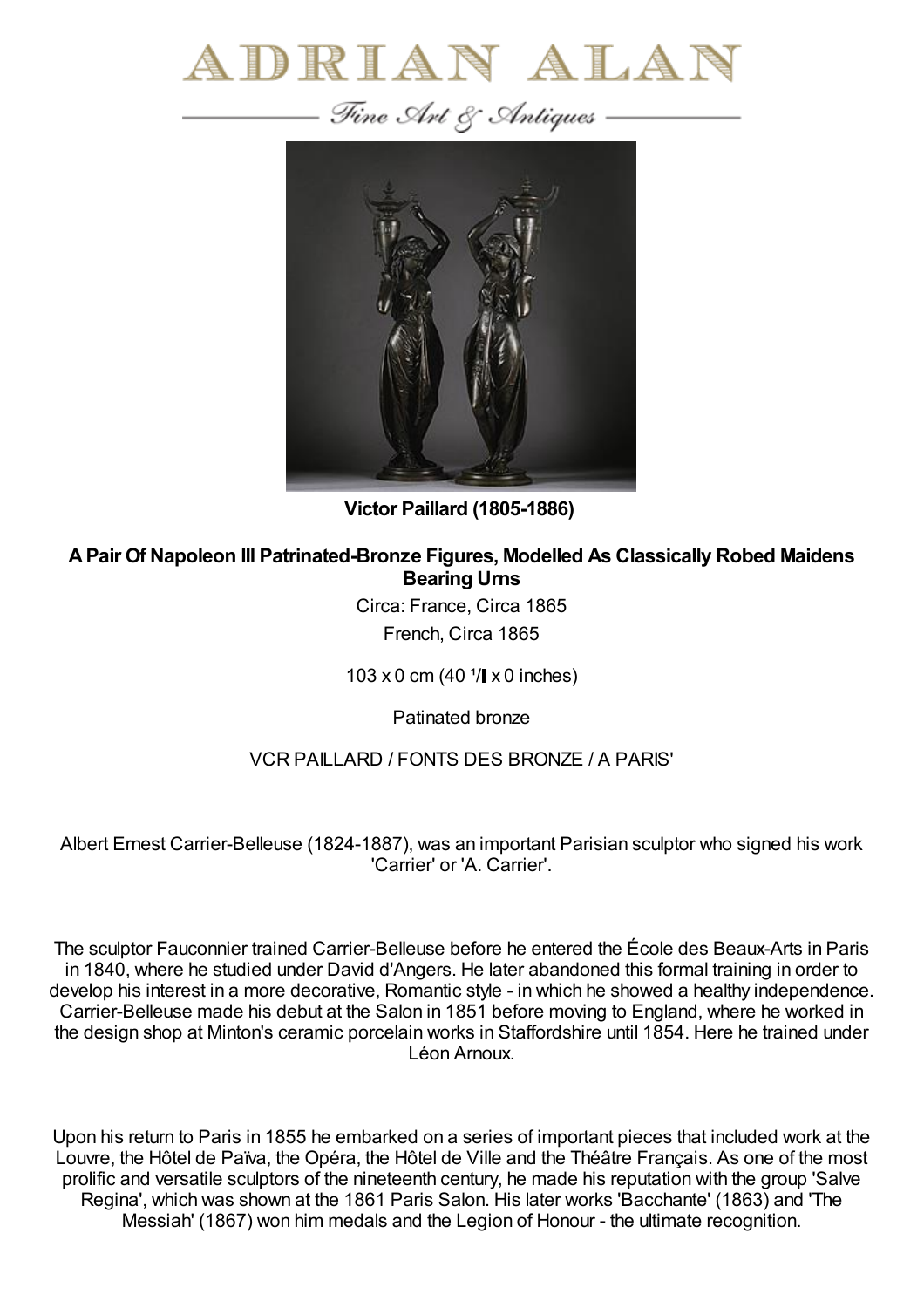



**Victor Paillard (1805-1886)**

**APair Of Napoleon III Patrinated-Bronze Figures, Modelled As Classically Robed Maidens Bearing Urns**

> Circa: France, Circa 1865 French, Circa 1865

103 x 0 cm (40  $1/$  x 0 inches)

Patinated bronze

## VCR PAILLARD / FONTS DES BRONZE / A PARIS'

Albert Ernest Carrier-Belleuse (1824-1887), was an important Parisian sculptor who signed his work 'Carrier' or 'A. Carrier'.

The sculptor Fauconnier trained Carrier-Belleuse before he entered the École des Beaux-Arts in Paris in 1840, where he studied under David d'Angers. He later abandoned this formal training in order to develop his interest in a more decorative, Romantic style - in which he showed a healthy independence. Carrier-Belleuse made his debut at the Salon in 1851 before moving to England, where he worked in the design shop at Minton's ceramic porcelain works in Staffordshire until 1854. Here he trained under Léon Arnoux.

Upon his return to Paris in 1855 he embarked on a series of important pieces that included work at the Louvre, the Hôtel de Païva, the Opéra, the Hôtel de Ville and the Théâtre Français. As one of the most prolific and versatile sculptors of the nineteenth century, he made his reputation with the group 'Salve Regina', which was shown at the 1861 Paris Salon. His later works 'Bacchante' (1863) and 'The Messiah' (1867) won him medals and the Legion of Honour - the ultimate recognition.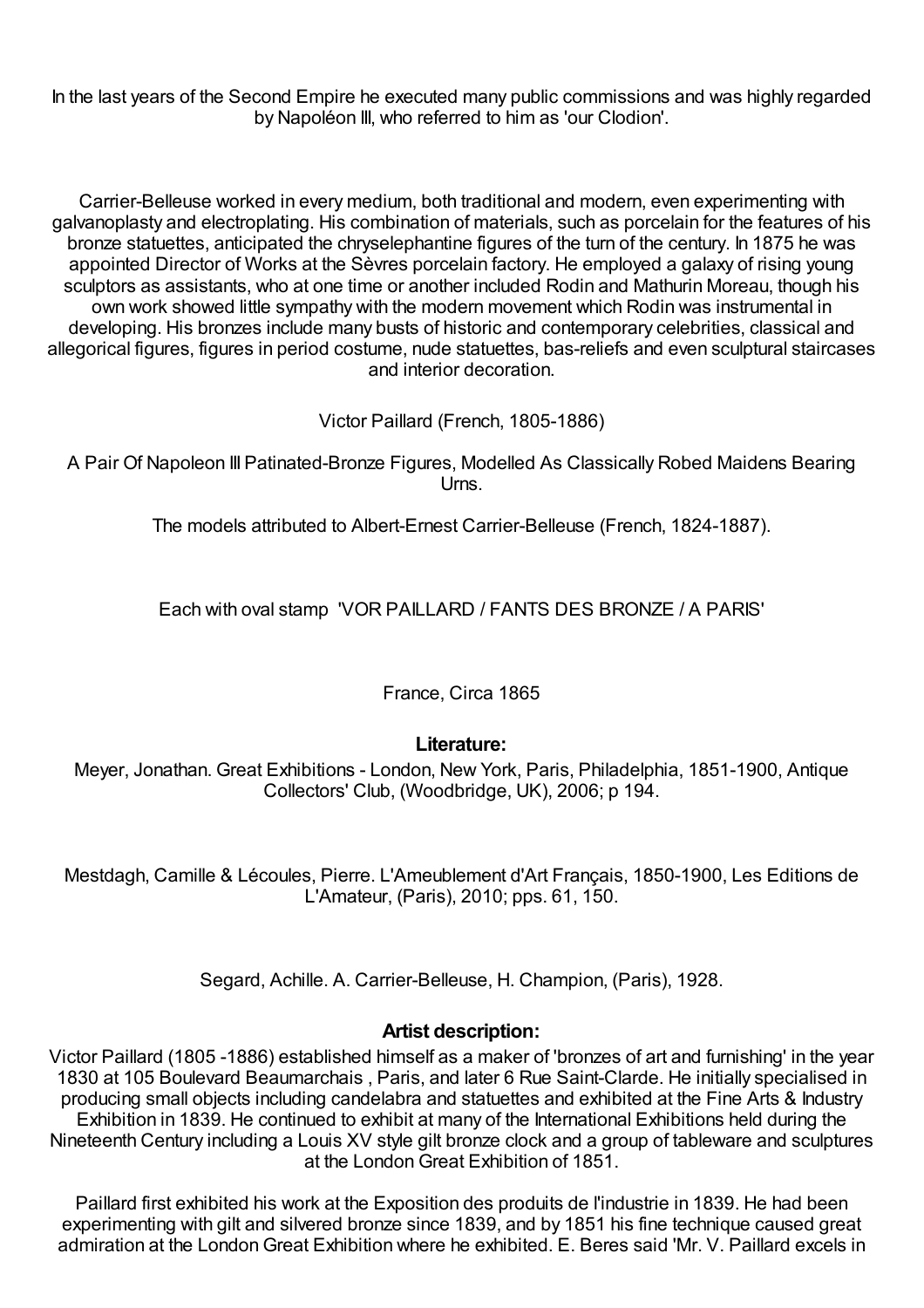In the last years of the Second Empire he executed many public commissions and was highly regarded by Napoléon III, who referred to him as 'our Clodion'.

Carrier-Belleuse worked in every medium, both traditional and modern, even experimenting with galvanoplasty and electroplating. His combination of materials, such as porcelain for the features of his bronze statuettes, anticipated the chryselephantine figures of the turn of the century. In 1875 he was appointed Director of Works at the Sèvres porcelain factory. He employed a galaxy of rising young sculptors as assistants, who at one time or another included Rodin and Mathurin Moreau, though his own work showed little sympathy with the modern movement which Rodin was instrumental in developing. His bronzes include many busts of historic and contemporary celebrities, classical and allegorical figures, figures in period costume, nude statuettes, bas-reliefs and even sculptural staircases and interior decoration.

Victor Paillard (French, 1805-1886)

A Pair Of Napoleon III Patinated-Bronze Figures, Modelled As Classically Robed Maidens Bearing Urns.

The models attributed to Albert-Ernest Carrier-Belleuse (French, 1824-1887).

Each with oval stamp 'VOR PAILLARD / FANTS DES BRONZE / A PARIS'

France, Circa 1865

## **Literature:**

Meyer, Jonathan. Great Exhibitions - London, New York, Paris, Philadelphia, 1851-1900, Antique Collectors' Club, (Woodbridge, UK), 2006; p 194.

Mestdagh, Camille & Lécoules, Pierre. L'Ameublement d'Art Français, 1850-1900, Les Editions de L'Amateur, (Paris), 2010; pps. 61, 150.

Segard, Achille. A. Carrier-Belleuse, H. Champion, (Paris), 1928.

## **Artist description:**

Victor Paillard (1805 -1886) established himself as a maker of 'bronzes of art and furnishing' in the year 1830 at 105 Boulevard Beaumarchais , Paris, and later 6 Rue Saint-Clarde. He initially specialised in producing small objects including candelabra and statuettes and exhibited at the Fine Arts & Industry Exhibition in 1839. He continued to exhibit at many of the International Exhibitions held during the Nineteenth Century including a Louis XV style gilt bronze clock and a group of tableware and sculptures at the LondonGreat Exhibition of 1851.

Paillard first exhibited his work at the Exposition des produits de l'industrie in 1839. He had been experimenting with gilt and silvered bronze since 1839, and by 1851 his fine technique caused great admiration at the LondonGreat Exhibition where he exhibited. E. Beres said 'Mr. V. Paillard excels in